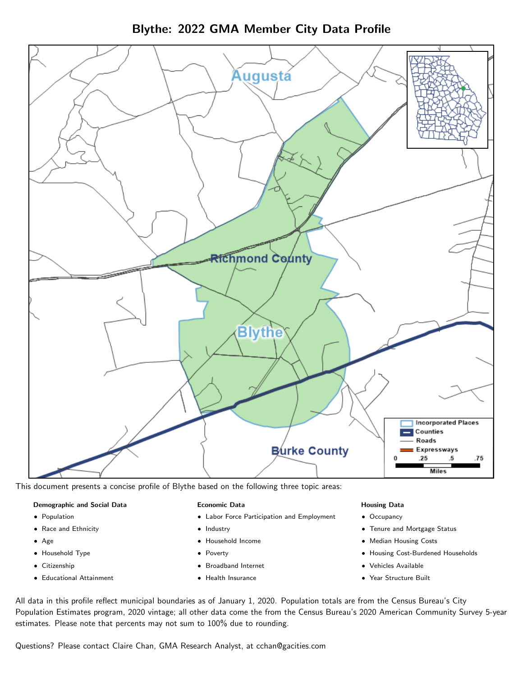Blythe: 2022 GMA Member City Data Profile



This document presents a concise profile of Blythe based on the following three topic areas:

## Demographic and Social Data

- **•** Population
- Race and Ethnicity
- Age
- Household Type
- **Citizenship**
- Educational Attainment

## Economic Data

- Labor Force Participation and Employment
- Industry
- Household Income
- Poverty
- Broadband Internet
- Health Insurance

## Housing Data

- Occupancy
- Tenure and Mortgage Status
- Median Housing Costs
- Housing Cost-Burdened Households
- Vehicles Available
- $\bullet$ Year Structure Built

All data in this profile reflect municipal boundaries as of January 1, 2020. Population totals are from the Census Bureau's City Population Estimates program, 2020 vintage; all other data come the from the Census Bureau's 2020 American Community Survey 5-year estimates. Please note that percents may not sum to 100% due to rounding.

Questions? Please contact Claire Chan, GMA Research Analyst, at [cchan@gacities.com.](mailto:cchan@gacities.com)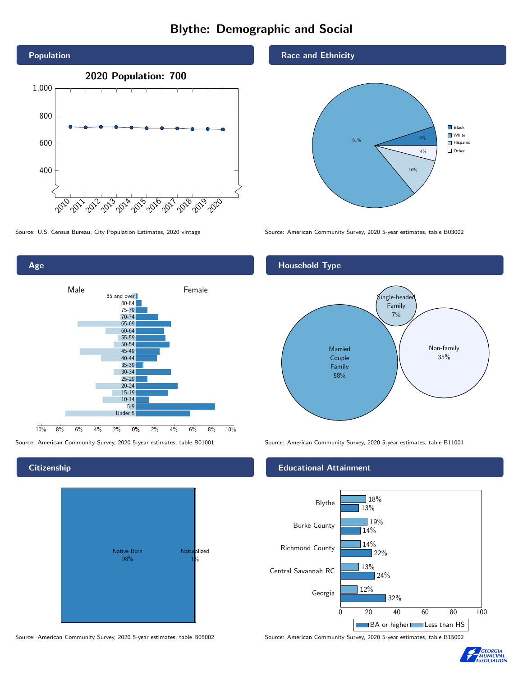# Blythe: Demographic and Social



0% 2% 4% 6% 8% 10% Male **Female** 10% 8% 6% 4% 2% 85 and over 80-84  $75 - 79$ 70-74 65-69 60-64 55-59 50-54 45-49 40-44 35-39 30-34 25-29 20-24 15-19 10-14 5-9 Under 5

# **Citizenship**

Age



Race and Ethnicity

Household Type



Source: U.S. Census Bureau, City Population Estimates, 2020 vintage Source: American Community Survey, 2020 5-year estimates, table B03002

# Married Couple Family 58% .<br>ingle-heade Family 7% Non-family 35%

Source: American Community Survey, 2020 5-year estimates, table B01001 Source: American Community Survey, 2020 5-year estimates, table B11001

## Educational Attainment



Source: American Community Survey, 2020 5-year estimates, table B05002 Source: American Community Survey, 2020 5-year estimates, table B15002

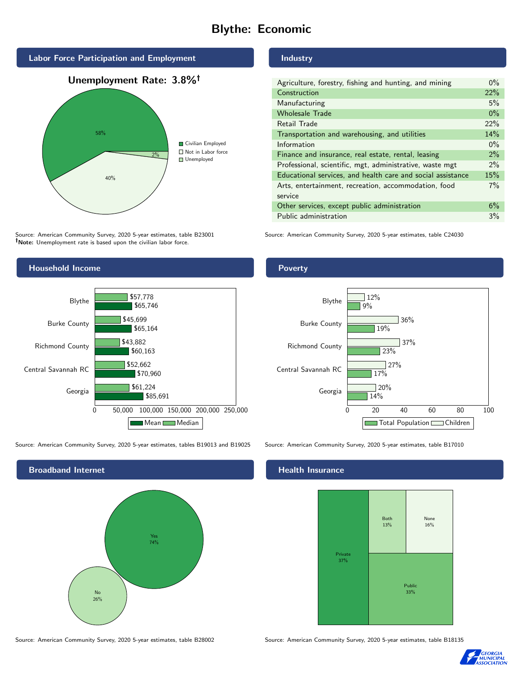# Blythe: Economic



Source: American Community Survey, 2020 5-year estimates, table B23001 Note: Unemployment rate is based upon the civilian labor force.



Source: American Community Survey, 2020 5-year estimates, tables B19013 and B19025 Source: American Community Survey, 2020 5-year estimates, table B17010



#### Source: American Community Survey, 2020 5-year estimates, table B28002 Source: American Community Survey, 2020 5-year estimates, table B18135

# Industry

| Agriculture, forestry, fishing and hunting, and mining      | $0\%$ |
|-------------------------------------------------------------|-------|
| Construction                                                | 22%   |
| Manufacturing                                               | 5%    |
| <b>Wholesale Trade</b>                                      | $0\%$ |
| Retail Trade                                                | 22%   |
| Transportation and warehousing, and utilities               | 14%   |
| Information                                                 | $0\%$ |
| Finance and insurance, real estate, rental, leasing         | 2%    |
| Professional, scientific, mgt, administrative, waste mgt    | $2\%$ |
| Educational services, and health care and social assistance | 15%   |
| Arts, entertainment, recreation, accommodation, food        | $7\%$ |
| service                                                     |       |
| Other services, except public administration                | 6%    |
| Public administration                                       | 3%    |

Source: American Community Survey, 2020 5-year estimates, table C24030





## Health Insurance